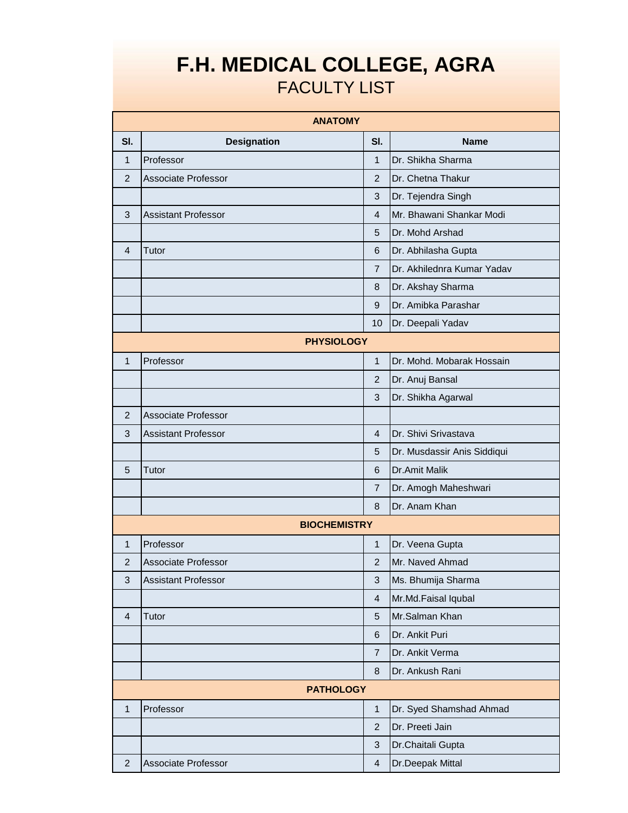## **F.H. MEDICAL COLLEGE, AGRA** FACULTY LIST

|                | <b>ANATOMY</b>             |                           |                             |  |  |
|----------------|----------------------------|---------------------------|-----------------------------|--|--|
| SI.            | <b>Designation</b>         | SI.                       | <b>Name</b>                 |  |  |
| $\mathbf{1}$   | Professor                  | $\mathbf{1}$              | Dr. Shikha Sharma           |  |  |
| $\overline{2}$ | Associate Professor        | $\overline{2}$            | Dr. Chetna Thakur           |  |  |
|                |                            | $\mathbf{3}$              | Dr. Tejendra Singh          |  |  |
| 3              | <b>Assistant Professor</b> | $\overline{4}$            | Mr. Bhawani Shankar Modi    |  |  |
|                |                            | 5                         | Dr. Mohd Arshad             |  |  |
| 4              | Tutor                      | $6\phantom{1}6$           | Dr. Abhilasha Gupta         |  |  |
|                |                            | $\overline{7}$            | Dr. Akhilednra Kumar Yadav  |  |  |
|                |                            | 8                         | Dr. Akshay Sharma           |  |  |
|                |                            | 9                         | Dr. Amibka Parashar         |  |  |
|                |                            | 10                        | Dr. Deepali Yadav           |  |  |
|                | <b>PHYSIOLOGY</b>          |                           |                             |  |  |
| $\mathbf{1}$   | Professor                  | $\mathbf{1}$              | Dr. Mohd. Mobarak Hossain   |  |  |
|                |                            | $\overline{2}$            | Dr. Anuj Bansal             |  |  |
|                |                            | 3                         | Dr. Shikha Agarwal          |  |  |
| $\overline{2}$ | Associate Professor        |                           |                             |  |  |
| 3              | <b>Assistant Professor</b> | $\overline{4}$            | Dr. Shivi Srivastava        |  |  |
|                |                            | 5                         | Dr. Musdassir Anis Siddiqui |  |  |
| 5              | Tutor                      | 6                         | Dr.Amit Malik               |  |  |
|                |                            | $\overline{7}$            | Dr. Amogh Maheshwari        |  |  |
|                |                            | 8                         | Dr. Anam Khan               |  |  |
|                | <b>BIOCHEMISTRY</b>        |                           |                             |  |  |
| $\mathbf{1}$   | Professor                  | $\mathbf{1}$              | Dr. Veena Gupta             |  |  |
| $\overline{2}$ | <b>Associate Professor</b> | $\overline{2}$            | Mr. Naved Ahmad             |  |  |
| 3              | <b>Assistant Professor</b> | $\mathbf{3}$              | Ms. Bhumija Sharma          |  |  |
|                |                            | $\overline{\mathbf{4}}$   | Mr.Md.Faisal Iqubal         |  |  |
| $\overline{4}$ | Tutor                      | 5                         | Mr.Salman Khan              |  |  |
|                |                            | 6                         | Dr. Ankit Puri              |  |  |
|                |                            | $\overline{7}$            | Dr. Ankit Verma             |  |  |
|                |                            | 8                         | Dr. Ankush Rani             |  |  |
|                | <b>PATHOLOGY</b>           |                           |                             |  |  |
| $\mathbf{1}$   | Professor                  | $\mathbf{1}$              | Dr. Syed Shamshad Ahmad     |  |  |
|                |                            | $\overline{2}$            | Dr. Preeti Jain             |  |  |
|                |                            | $\ensuremath{\mathsf{3}}$ | Dr.Chaitali Gupta           |  |  |
| $\overline{2}$ | Associate Professor        | $\overline{4}$            | Dr.Deepak Mittal            |  |  |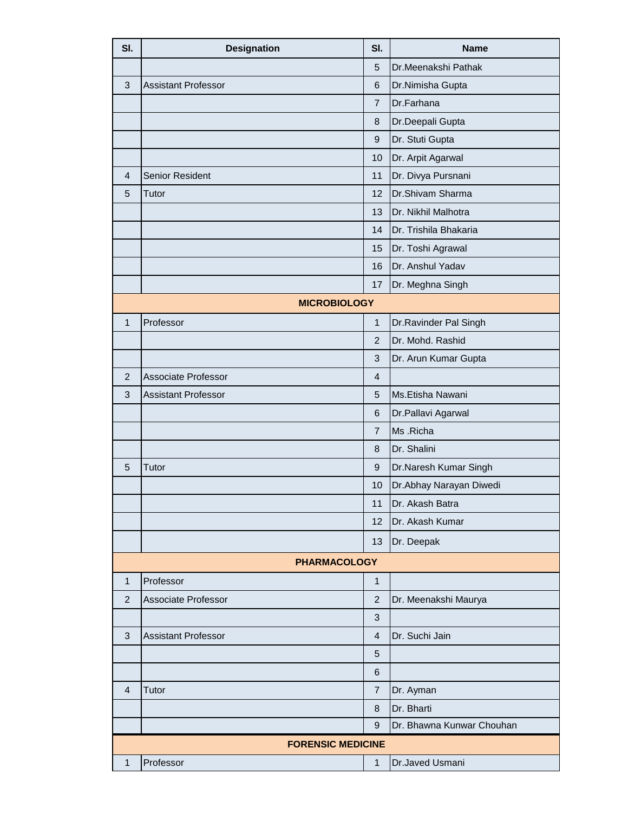| SI.                      | <b>Designation</b>         | SI.              | <b>Name</b>               |  |
|--------------------------|----------------------------|------------------|---------------------------|--|
|                          |                            | 5                | Dr.Meenakshi Pathak       |  |
| 3                        | <b>Assistant Professor</b> | 6                | Dr.Nimisha Gupta          |  |
|                          |                            | $\overline{7}$   | Dr.Farhana                |  |
|                          |                            | 8                | Dr.Deepali Gupta          |  |
|                          |                            | $\boldsymbol{9}$ | Dr. Stuti Gupta           |  |
|                          |                            | 10               | Dr. Arpit Agarwal         |  |
| 4                        | Senior Resident            | 11               | Dr. Divya Pursnani        |  |
| 5                        | Tutor                      | 12               | Dr.Shivam Sharma          |  |
|                          |                            | 13               | Dr. Nikhil Malhotra       |  |
|                          |                            | 14               | Dr. Trishila Bhakaria     |  |
|                          |                            | 15               | Dr. Toshi Agrawal         |  |
|                          |                            | 16               | Dr. Anshul Yadav          |  |
|                          |                            | 17               | Dr. Meghna Singh          |  |
|                          | <b>MICROBIOLOGY</b>        |                  |                           |  |
| $\mathbf{1}$             | Professor                  | $\mathbf{1}$     | Dr.Ravinder Pal Singh     |  |
|                          |                            | $\overline{2}$   | Dr. Mohd. Rashid          |  |
|                          |                            | 3                | Dr. Arun Kumar Gupta      |  |
| $\overline{2}$           | Associate Professor        | $\overline{4}$   |                           |  |
| 3                        | <b>Assistant Professor</b> | 5                | Ms.Etisha Nawani          |  |
|                          |                            | $\,6$            | Dr.Pallavi Agarwal        |  |
|                          |                            | $\overline{7}$   | Ms .Richa                 |  |
|                          |                            | $\bf 8$          | Dr. Shalini               |  |
| 5                        | Tutor                      | $\boldsymbol{9}$ | Dr.Naresh Kumar Singh     |  |
|                          |                            | 10               | Dr.Abhay Narayan Diwedi   |  |
|                          |                            | 11               | Dr. Akash Batra           |  |
|                          |                            | 12               | Dr. Akash Kumar           |  |
|                          |                            | 13               | Dr. Deepak                |  |
|                          | <b>PHARMACOLOGY</b>        |                  |                           |  |
| 1                        | Professor                  | $\mathbf{1}$     |                           |  |
| $\overline{2}$           | <b>Associate Professor</b> | $\overline{2}$   | Dr. Meenakshi Maurya      |  |
|                          |                            | 3                |                           |  |
| 3                        | <b>Assistant Professor</b> | 4                | Dr. Suchi Jain            |  |
|                          |                            | 5                |                           |  |
|                          |                            | $6\phantom{1}6$  |                           |  |
| $\overline{4}$           | Tutor                      | $\overline{7}$   | Dr. Ayman                 |  |
|                          |                            | $\bf 8$          | Dr. Bharti                |  |
|                          |                            | 9                | Dr. Bhawna Kunwar Chouhan |  |
| <b>FORENSIC MEDICINE</b> |                            |                  |                           |  |
| $\mathbf{1}$             | Professor                  | $\mathbf{1}$     | Dr.Javed Usmani           |  |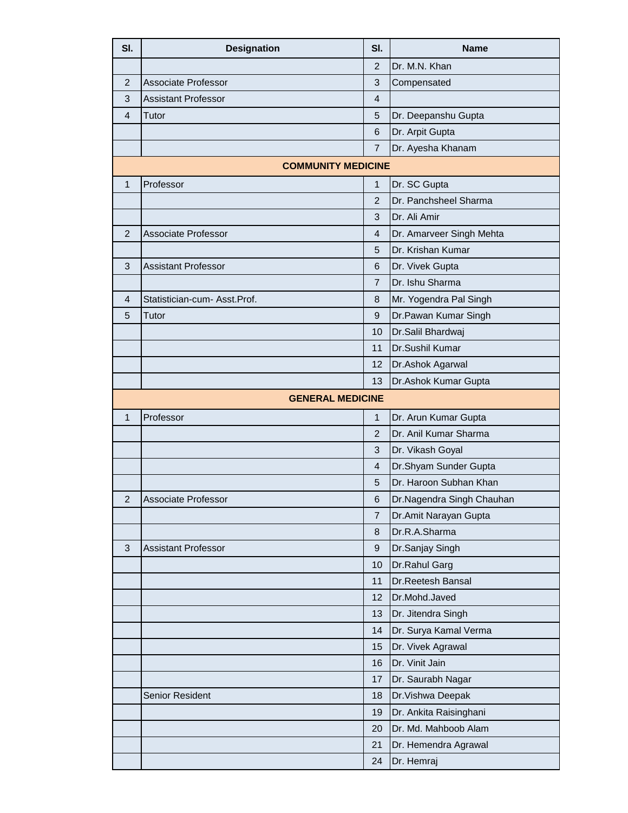| SI.            | <b>Designation</b>           | SI.            | <b>Name</b>               |
|----------------|------------------------------|----------------|---------------------------|
|                |                              | $\overline{2}$ | Dr. M.N. Khan             |
| $\overline{2}$ | <b>Associate Professor</b>   | 3              | Compensated               |
| 3              | <b>Assistant Professor</b>   | 4              |                           |
| 4              | Tutor                        | 5              | Dr. Deepanshu Gupta       |
|                |                              | 6              | Dr. Arpit Gupta           |
|                |                              | $\overline{7}$ | Dr. Ayesha Khanam         |
|                | <b>COMMUNITY MEDICINE</b>    |                |                           |
| $\mathbf{1}$   | Professor                    | $\mathbf{1}$   | Dr. SC Gupta              |
|                |                              | $\overline{2}$ | Dr. Panchsheel Sharma     |
|                |                              | 3              | Dr. Ali Amir              |
| 2              | Associate Professor          | $\overline{4}$ | Dr. Amarveer Singh Mehta  |
|                |                              | 5              | Dr. Krishan Kumar         |
| 3              | <b>Assistant Professor</b>   | 6              | Dr. Vivek Gupta           |
|                |                              | 7              | Dr. Ishu Sharma           |
| 4              | Statistician-cum- Asst.Prof. | 8              | Mr. Yogendra Pal Singh    |
| 5              | Tutor                        | 9              | Dr.Pawan Kumar Singh      |
|                |                              | 10             | Dr.Salil Bhardwaj         |
|                |                              | 11             | Dr.Sushil Kumar           |
|                |                              | 12             | Dr.Ashok Agarwal          |
|                |                              | 13             | Dr.Ashok Kumar Gupta      |
|                | <b>GENERAL MEDICINE</b>      |                |                           |
| $\mathbf{1}$   | Professor                    | $\mathbf{1}$   | Dr. Arun Kumar Gupta      |
|                |                              | $\overline{2}$ | Dr. Anil Kumar Sharma     |
|                |                              | 3              | Dr. Vikash Goyal          |
|                |                              | 4              | Dr.Shyam Sunder Gupta     |
|                |                              | 5              | Dr. Haroon Subhan Khan    |
| $\mathbf 2$    | Associate Professor          | $\,6$          | Dr.Nagendra Singh Chauhan |
|                |                              | $\overline{7}$ | Dr.Amit Narayan Gupta     |
|                |                              | 8              | Dr.R.A.Sharma             |
| 3              | <b>Assistant Professor</b>   | 9              | Dr.Sanjay Singh           |
|                |                              | 10             | Dr.Rahul Garg             |
|                |                              | 11             | Dr.Reetesh Bansal         |
|                |                              | 12             | Dr.Mohd.Javed             |
|                |                              | 13             | Dr. Jitendra Singh        |
|                |                              | 14             | Dr. Surya Kamal Verma     |
|                |                              | 15             | Dr. Vivek Agrawal         |
|                |                              | 16             | Dr. Vinit Jain            |
|                |                              | 17             | Dr. Saurabh Nagar         |
|                | Senior Resident              | 18             | Dr. Vishwa Deepak         |
|                |                              | 19             | Dr. Ankita Raisinghani    |
|                |                              | 20             | Dr. Md. Mahboob Alam      |
|                |                              | 21             | Dr. Hemendra Agrawal      |
|                |                              | 24             | Dr. Hemraj                |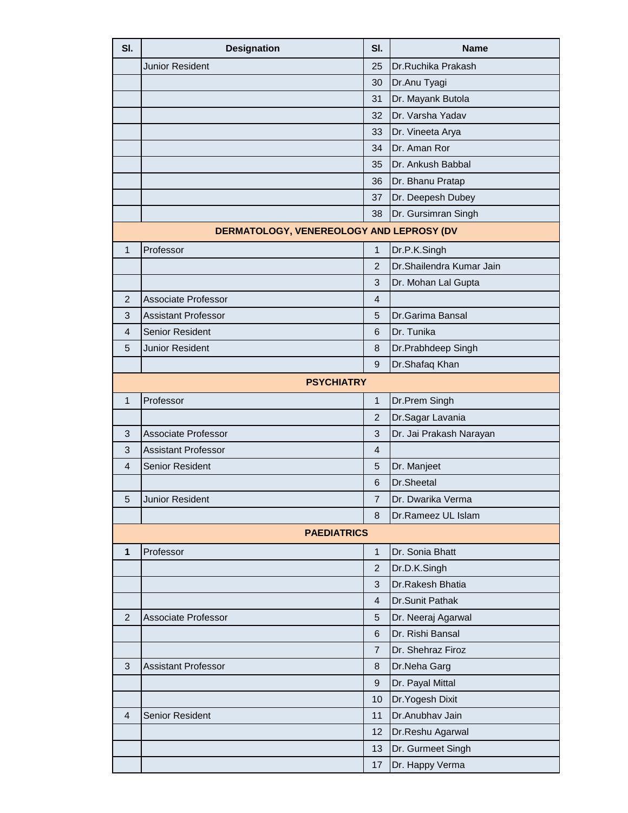| SI.            | <b>Designation</b>                       | SI.              | <b>Name</b>              |
|----------------|------------------------------------------|------------------|--------------------------|
|                | Junior Resident                          | 25               | Dr.Ruchika Prakash       |
|                |                                          | 30               | Dr.Anu Tyagi             |
|                |                                          | 31               | Dr. Mayank Butola        |
|                |                                          | 32               | Dr. Varsha Yadav         |
|                |                                          | 33               | Dr. Vineeta Arya         |
|                |                                          | 34               | Dr. Aman Ror             |
|                |                                          | 35               | Dr. Ankush Babbal        |
|                |                                          | 36               | Dr. Bhanu Pratap         |
|                |                                          | 37               | Dr. Deepesh Dubey        |
|                |                                          | 38               | Dr. Gursimran Singh      |
|                | DERMATOLOGY, VENEREOLOGY AND LEPROSY (DV |                  |                          |
| 1              | Professor                                | 1                | Dr.P.K.Singh             |
|                |                                          | $\overline{2}$   | Dr.Shailendra Kumar Jain |
|                |                                          | 3                | Dr. Mohan Lal Gupta      |
| $\overline{2}$ | Associate Professor                      | $\overline{4}$   |                          |
| 3              | <b>Assistant Professor</b>               | 5                | Dr.Garima Bansal         |
| 4              | <b>Senior Resident</b>                   | 6                | Dr. Tunika               |
| 5              | Junior Resident                          | 8                | Dr.Prabhdeep Singh       |
|                |                                          | 9                | Dr.Shafaq Khan           |
|                | <b>PSYCHIATRY</b>                        |                  |                          |
| $\mathbf{1}$   | Professor                                | $\mathbf{1}$     | Dr.Prem Singh            |
|                |                                          | $\overline{c}$   | Dr.Sagar Lavania         |
| 3              | <b>Associate Professor</b>               | 3                | Dr. Jai Prakash Narayan  |
| 3              | <b>Assistant Professor</b>               | $\overline{4}$   |                          |
| 4              | Senior Resident                          | 5                | Dr. Manjeet              |
|                |                                          | 6                | Dr.Sheetal               |
| 5              | Junior Resident                          | $\overline{7}$   | Dr. Dwarika Verma        |
|                |                                          | 8                | Dr.Rameez UL Islam       |
|                | <b>PAEDIATRICS</b>                       |                  |                          |
| $\mathbf{1}$   | Professor                                | $\mathbf{1}$     | Dr. Sonia Bhatt          |
|                |                                          | $\overline{c}$   | Dr.D.K.Singh             |
|                |                                          | 3                | Dr.Rakesh Bhatia         |
|                |                                          | 4                | Dr.Sunit Pathak          |
| $\overline{2}$ | <b>Associate Professor</b>               | 5                | Dr. Neeraj Agarwal       |
|                |                                          | 6                | Dr. Rishi Bansal         |
|                |                                          | $\overline{7}$   | Dr. Shehraz Firoz        |
| 3              | <b>Assistant Professor</b>               | 8                | Dr.Neha Garg             |
|                |                                          | $\boldsymbol{9}$ | Dr. Payal Mittal         |
|                |                                          | 10               | Dr. Yogesh Dixit         |
| $\overline{4}$ | Senior Resident                          | 11               | Dr.Anubhav Jain          |
|                |                                          | 12               | Dr.Reshu Agarwal         |
|                |                                          | 13               | Dr. Gurmeet Singh        |
|                |                                          | 17               | Dr. Happy Verma          |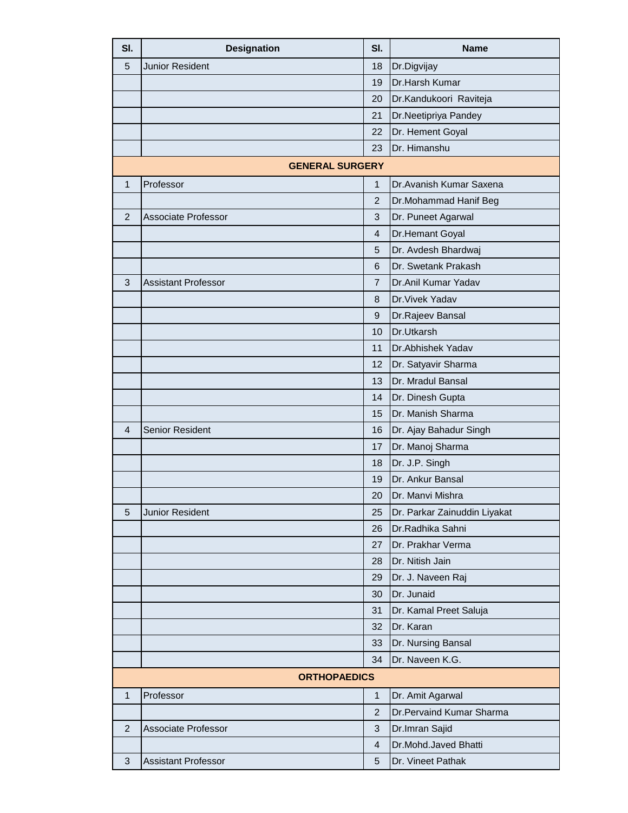| SI.            | <b>Designation</b>         | SI.            | <b>Name</b>                     |
|----------------|----------------------------|----------------|---------------------------------|
| 5              | <b>Junior Resident</b>     | 18             | Dr.Digvijay                     |
|                |                            | 19             | Dr.Harsh Kumar                  |
|                |                            | 20             | Dr.Kandukoori Raviteja          |
|                |                            | 21             | Dr.Neetipriya Pandey            |
|                |                            | 22             | Dr. Hement Goyal                |
|                |                            | 23             | Dr. Himanshu                    |
|                | <b>GENERAL SURGERY</b>     |                |                                 |
| $\mathbf{1}$   | Professor                  | $\mathbf{1}$   | Dr. Avanish Kumar Saxena        |
|                |                            | $\overline{2}$ | Dr.Mohammad Hanif Beg           |
| $\overline{2}$ | Associate Professor        | 3              | Dr. Puneet Agarwal              |
|                |                            | 4              | Dr.Hemant Goyal                 |
|                |                            | 5              | Dr. Avdesh Bhardwaj             |
|                |                            | 6              | Dr. Swetank Prakash             |
| 3              | <b>Assistant Professor</b> | 7              | Dr.Anil Kumar Yadav             |
|                |                            | 8              | Dr. Vivek Yadav                 |
|                |                            | 9              | Dr.Rajeev Bansal                |
|                |                            | 10             | Dr.Utkarsh                      |
|                |                            | 11             | Dr.Abhishek Yadav               |
|                |                            | 12             | Dr. Satyavir Sharma             |
|                |                            | 13             | Dr. Mradul Bansal               |
|                |                            | 14             | Dr. Dinesh Gupta                |
|                |                            | 15             | Dr. Manish Sharma               |
| 4              | <b>Senior Resident</b>     | 16             | Dr. Ajay Bahadur Singh          |
|                |                            | 17             | Dr. Manoj Sharma                |
|                |                            | 18             | Dr. J.P. Singh                  |
|                |                            | 19             | Dr. Ankur Bansal                |
|                |                            | 20             | Dr. Manvi Mishra                |
| 5              | <b>Junior Resident</b>     | 25             | Dr. Parkar Zainuddin Liyakat    |
|                |                            | 26             | Dr.Radhika Sahni                |
|                |                            | 27             | Dr. Prakhar Verma               |
|                |                            | 28             | Dr. Nitish Jain                 |
|                |                            | 29             | Dr. J. Naveen Raj               |
|                |                            | 30             | Dr. Junaid                      |
|                |                            | 31             | Dr. Kamal Preet Saluja          |
|                |                            | 32             | Dr. Karan                       |
|                |                            | 33             | Dr. Nursing Bansal              |
|                |                            | 34             | Dr. Naveen K.G.                 |
|                | <b>ORTHOPAEDICS</b>        |                |                                 |
| $\mathbf{1}$   | Professor                  | $\mathbf{1}$   | Dr. Amit Agarwal                |
|                |                            | $\overline{c}$ | <b>Dr.Pervaind Kumar Sharma</b> |
| $\overline{2}$ | Associate Professor        | 3              | Dr.Imran Sajid                  |
|                |                            | $\overline{4}$ | Dr.Mohd.Javed Bhatti            |
| 3              | <b>Assistant Professor</b> | 5              | Dr. Vineet Pathak               |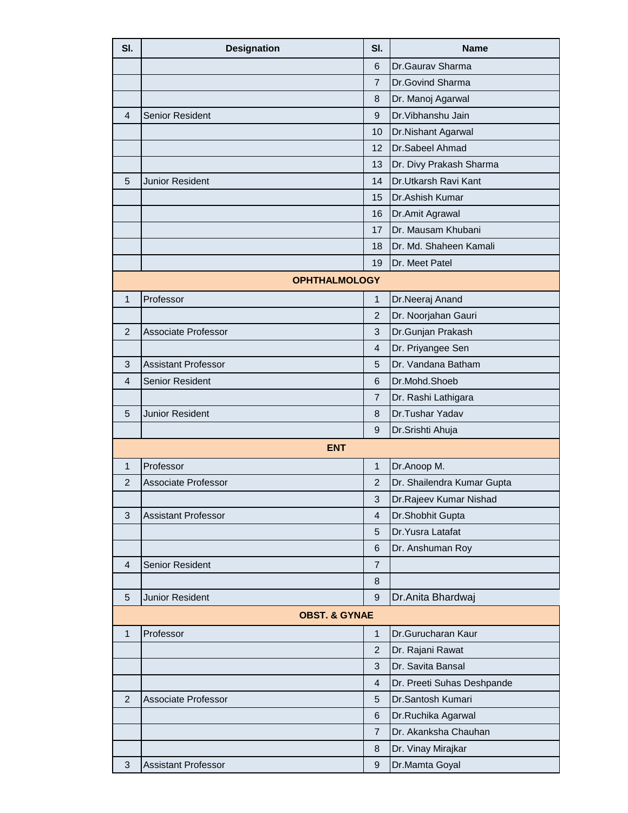| SI.            | <b>Designation</b>         | SI.                       | <b>Name</b>                |  |  |
|----------------|----------------------------|---------------------------|----------------------------|--|--|
|                |                            | 6                         | Dr.Gaurav Sharma           |  |  |
|                |                            | $\overline{7}$            | Dr.Govind Sharma           |  |  |
|                |                            | 8                         | Dr. Manoj Agarwal          |  |  |
| 4              | <b>Senior Resident</b>     | 9                         | Dr. Vibhanshu Jain         |  |  |
|                |                            | 10                        | Dr.Nishant Agarwal         |  |  |
|                |                            | 12                        | Dr.Sabeel Ahmad            |  |  |
|                |                            | 13                        | Dr. Divy Prakash Sharma    |  |  |
| 5              | <b>Junior Resident</b>     | 14                        | Dr.Utkarsh Ravi Kant       |  |  |
|                |                            | 15                        | Dr.Ashish Kumar            |  |  |
|                |                            | 16                        | Dr.Amit Agrawal            |  |  |
|                |                            | 17                        | Dr. Mausam Khubani         |  |  |
|                |                            | 18                        | Dr. Md. Shaheen Kamali     |  |  |
|                |                            | 19                        | Dr. Meet Patel             |  |  |
|                | <b>OPHTHALMOLOGY</b>       |                           |                            |  |  |
| 1              | Professor                  | $\mathbf{1}$              | Dr.Neeraj Anand            |  |  |
|                |                            | $\overline{2}$            | Dr. Noorjahan Gauri        |  |  |
| 2              | Associate Professor        | 3                         | Dr.Gunjan Prakash          |  |  |
|                |                            | 4                         | Dr. Priyangee Sen          |  |  |
| 3              | <b>Assistant Professor</b> | 5                         | Dr. Vandana Batham         |  |  |
| 4              | <b>Senior Resident</b>     | 6                         | Dr.Mohd.Shoeb              |  |  |
|                |                            | $\overline{7}$            | Dr. Rashi Lathigara        |  |  |
| 5              | <b>Junior Resident</b>     | 8                         | Dr.Tushar Yadav            |  |  |
|                |                            | $\boldsymbol{9}$          | Dr.Srishti Ahuja           |  |  |
|                | <b>ENT</b>                 |                           |                            |  |  |
| 1              | Professor                  | $\mathbf{1}$              | Dr.Anoop M.                |  |  |
| $\overline{2}$ | <b>Associate Professor</b> | $\overline{2}$            | Dr. Shailendra Kumar Gupta |  |  |
|                |                            | $\ensuremath{\mathsf{3}}$ | Dr.Rajeev Kumar Nishad     |  |  |
| 3              | <b>Assistant Professor</b> | $\overline{4}$            | Dr.Shobhit Gupta           |  |  |
|                |                            | 5                         | Dr. Yusra Latafat          |  |  |
|                |                            | 6                         | Dr. Anshuman Roy           |  |  |
| 4              | <b>Senior Resident</b>     | $\overline{7}$            |                            |  |  |
|                |                            | 8                         |                            |  |  |
| 5              | <b>Junior Resident</b>     | $\overline{9}$            | Dr. Anita Bhardwaj         |  |  |
|                | <b>OBST. &amp; GYNAE</b>   |                           |                            |  |  |
| $\mathbf{1}$   | Professor                  | $\mathbf{1}$              | Dr.Gurucharan Kaur         |  |  |
|                |                            | $\overline{2}$            | Dr. Rajani Rawat           |  |  |
|                |                            | $\mathbf{3}$              | Dr. Savita Bansal          |  |  |
|                |                            | $\overline{4}$            | Dr. Preeti Suhas Deshpande |  |  |
| 2              | <b>Associate Professor</b> | 5                         | Dr.Santosh Kumari          |  |  |
|                |                            | 6                         | Dr.Ruchika Agarwal         |  |  |
|                |                            | $\overline{7}$            | Dr. Akanksha Chauhan       |  |  |
|                |                            | 8                         | Dr. Vinay Mirajkar         |  |  |
| 3              | <b>Assistant Professor</b> | $\boldsymbol{9}$          | Dr.Mamta Goyal             |  |  |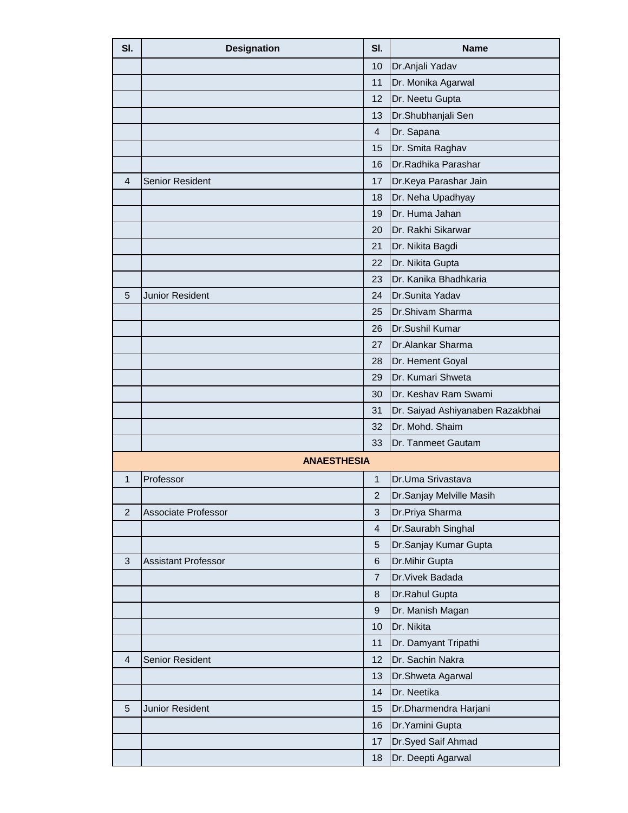| SI.            | <b>Designation</b>         | SI.                     | <b>Name</b>                      |
|----------------|----------------------------|-------------------------|----------------------------------|
|                |                            | 10                      | Dr.Anjali Yadav                  |
|                |                            | 11                      | Dr. Monika Agarwal               |
|                |                            | 12                      | Dr. Neetu Gupta                  |
|                |                            | 13                      | Dr.Shubhanjali Sen               |
|                |                            | $\overline{4}$          | Dr. Sapana                       |
|                |                            | 15                      | Dr. Smita Raghav                 |
|                |                            | 16                      | Dr.Radhika Parashar              |
| 4              | <b>Senior Resident</b>     | 17                      | Dr.Keya Parashar Jain            |
|                |                            | 18                      | Dr. Neha Upadhyay                |
|                |                            | 19                      | Dr. Huma Jahan                   |
|                |                            | 20                      | Dr. Rakhi Sikarwar               |
|                |                            | 21                      | Dr. Nikita Bagdi                 |
|                |                            | 22                      | Dr. Nikita Gupta                 |
|                |                            | 23                      | Dr. Kanika Bhadhkaria            |
| 5              | <b>Junior Resident</b>     | 24                      | Dr.Sunita Yadav                  |
|                |                            | 25                      | Dr.Shivam Sharma                 |
|                |                            | 26                      | Dr.Sushil Kumar                  |
|                |                            | 27                      | Dr.Alankar Sharma                |
|                |                            | 28                      | Dr. Hement Goyal                 |
|                |                            | 29                      | Dr. Kumari Shweta                |
|                |                            | 30                      | Dr. Keshav Ram Swami             |
|                |                            | 31                      | Dr. Saiyad Ashiyanaben Razakbhai |
|                |                            | 32                      | Dr. Mohd. Shaim                  |
|                |                            | 33                      | Dr. Tanmeet Gautam               |
|                | <b>ANAESTHESIA</b>         |                         |                                  |
| 1              | Professor                  | $\mathbf{1}$            | Dr.Uma Srivastava                |
|                |                            | $\overline{2}$          | Dr.Sanjay Melville Masih         |
| $\overline{2}$ | Associate Professor        | 3                       | Dr.Priya Sharma                  |
|                |                            | $\overline{\mathbf{4}}$ | Dr.Saurabh Singhal               |
|                |                            | 5                       | Dr.Sanjay Kumar Gupta            |
| 3              | <b>Assistant Professor</b> | 6                       | Dr.Mihir Gupta                   |
|                |                            | $\overline{7}$          | Dr. Vivek Badada                 |
|                |                            | 8                       | Dr.Rahul Gupta                   |
|                |                            | $\boldsymbol{9}$        | Dr. Manish Magan                 |
|                |                            | 10                      | Dr. Nikita                       |
|                |                            | 11                      | Dr. Damyant Tripathi             |
| $\overline{4}$ | Senior Resident            | 12                      | Dr. Sachin Nakra                 |
|                |                            | 13                      | Dr.Shweta Agarwal                |
|                |                            | 14                      | Dr. Neetika                      |
| 5              | Junior Resident            | 15                      | Dr.Dharmendra Harjani            |
|                |                            | 16                      | Dr. Yamini Gupta                 |
|                |                            | 17                      | Dr.Syed Saif Ahmad               |
|                |                            | 18                      | Dr. Deepti Agarwal               |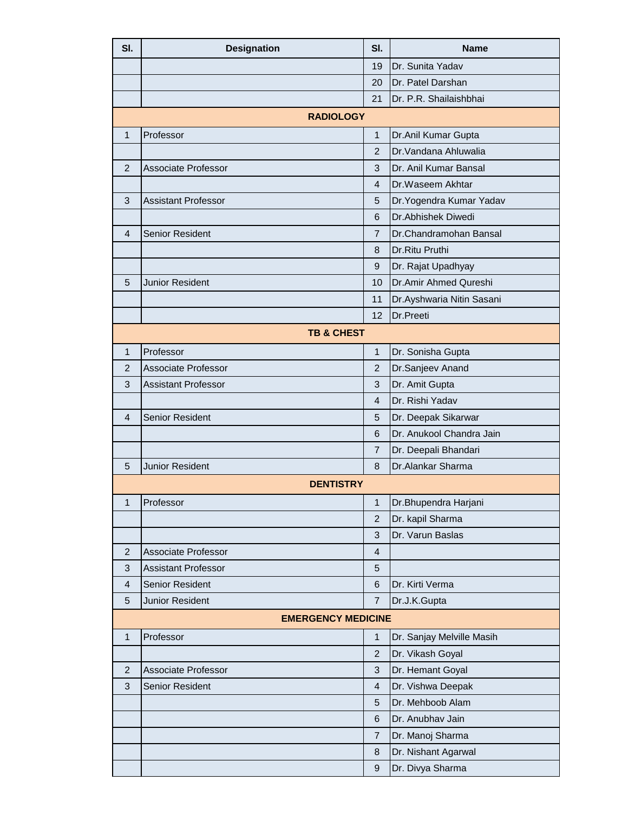| SI.            | <b>Designation</b>         | SI.                      | <b>Name</b>               |
|----------------|----------------------------|--------------------------|---------------------------|
|                |                            | 19                       | Dr. Sunita Yadav          |
|                |                            | 20                       | Dr. Patel Darshan         |
|                |                            | 21                       | Dr. P.R. Shailaishbhai    |
|                | <b>RADIOLOGY</b>           |                          |                           |
| $\mathbf 1$    | Professor                  | $\mathbf{1}$             | Dr.Anil Kumar Gupta       |
|                |                            | $\overline{2}$           | Dr. Vandana Ahluwalia     |
| $\overline{2}$ | <b>Associate Professor</b> | 3                        | Dr. Anil Kumar Bansal     |
|                |                            | 4                        | Dr.Waseem Akhtar          |
| 3              | <b>Assistant Professor</b> | 5                        | Dr. Yogendra Kumar Yadav  |
|                |                            | 6                        | Dr.Abhishek Diwedi        |
| 4              | <b>Senior Resident</b>     | $\overline{7}$           | Dr.Chandramohan Bansal    |
|                |                            | 8                        | Dr.Ritu Pruthi            |
|                |                            | 9                        | Dr. Rajat Upadhyay        |
| 5              | <b>Junior Resident</b>     | 10                       | Dr.Amir Ahmed Qureshi     |
|                |                            | 11                       | Dr.Ayshwaria Nitin Sasani |
|                |                            | 12                       | Dr.Preeti                 |
|                | <b>TB &amp; CHEST</b>      |                          |                           |
| $\mathbf{1}$   | Professor                  | $\mathbf{1}$             | Dr. Sonisha Gupta         |
| $\overline{2}$ | <b>Associate Professor</b> | $\overline{2}$           | Dr.Sanjeev Anand          |
| 3              | <b>Assistant Professor</b> | $\mathbf{3}$             | Dr. Amit Gupta            |
|                |                            | $\overline{4}$           | Dr. Rishi Yadav           |
| 4              | <b>Senior Resident</b>     | 5                        | Dr. Deepak Sikarwar       |
|                |                            | 6                        | Dr. Anukool Chandra Jain  |
|                |                            | $\overline{7}$           | Dr. Deepali Bhandari      |
| 5              | Junior Resident            | 8                        | Dr.Alankar Sharma         |
|                | <b>DENTISTRY</b>           |                          |                           |
| 1              | Professor                  | $\mathbf 1$              | Dr.Bhupendra Harjani      |
|                |                            | $\overline{2}$           | Dr. kapil Sharma          |
|                |                            | 3                        | Dr. Varun Baslas          |
| 2              | Associate Professor        | $\overline{\mathcal{A}}$ |                           |
| 3              | <b>Assistant Professor</b> | 5                        |                           |
| 4              | <b>Senior Resident</b>     | $\,6$                    | Dr. Kirti Verma           |
| 5              | Junior Resident            | $\overline{7}$           | Dr.J.K.Gupta              |
|                | <b>EMERGENCY MEDICINE</b>  |                          |                           |
| $\mathbf{1}$   | Professor                  | $\mathbf 1$              | Dr. Sanjay Melville Masih |
|                |                            | $\overline{2}$           | Dr. Vikash Goyal          |
| $\overline{2}$ | Associate Professor        | $\mathbf{3}$             | Dr. Hemant Goyal          |
| 3              | Senior Resident            | 4                        | Dr. Vishwa Deepak         |
|                |                            | 5                        | Dr. Mehboob Alam          |
|                |                            | $\,6$                    | Dr. Anubhav Jain          |
|                |                            | 7                        | Dr. Manoj Sharma          |
|                |                            | $\bf 8$                  | Dr. Nishant Agarwal       |
|                |                            | $\boldsymbol{9}$         | Dr. Divya Sharma          |